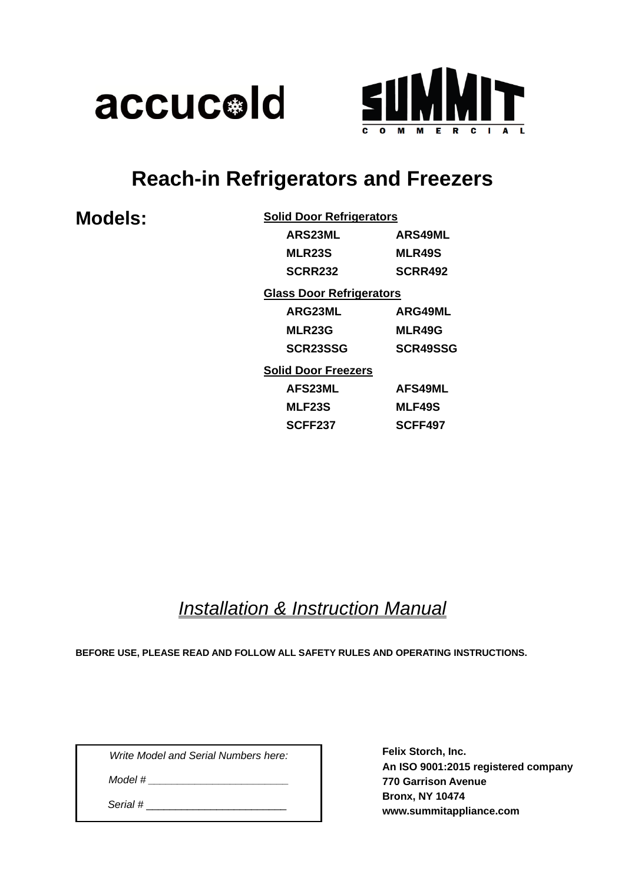



# **Reach-in Refrigerators and Freezers**

| <b>Models:</b> |  |
|----------------|--|
|----------------|--|

| <b>Solid Door Refrigerators</b> |                 |
|---------------------------------|-----------------|
| <b>ARS23ML</b>                  | <b>ARS49ML</b>  |
| <b>MLR23S</b>                   | <b>MLR49S</b>   |
| <b>SCRR232</b>                  | SCRR492         |
| <b>Glass Door Refrigerators</b> |                 |
| <b>ARG23ML</b>                  | ARG49ML         |
| <b>MLR23G</b>                   | MLR49G          |
| SCR23SSG                        | <b>SCR49SSG</b> |
| <b>Solid Door Freezers</b>      |                 |
| <b>AFS23ML</b>                  | <b>AFS49ML</b>  |
| <b>MLF23S</b>                   | <b>MLF49S</b>   |
| <b>SCFF237</b>                  | <b>SCFF497</b>  |

# *Installation & Instruction Manual*

**BEFORE USE, PLEASE READ AND FOLLOW ALL SAFETY RULES AND OPERATING INSTRUCTIONS.**

*Write Model and Serial Numbers here:*

*Model # \_\_\_\_\_\_\_\_\_\_\_\_\_\_\_\_\_\_\_\_\_\_\_\_*

 *Serial #* \_\_\_\_\_\_\_\_\_\_\_\_\_\_\_\_\_\_\_\_\_\_\_\_

**Felix Storch, Inc. An ISO 9001:2015 registered company 770 Garrison Avenue Bronx, NY 10474 www.summitappliance.com**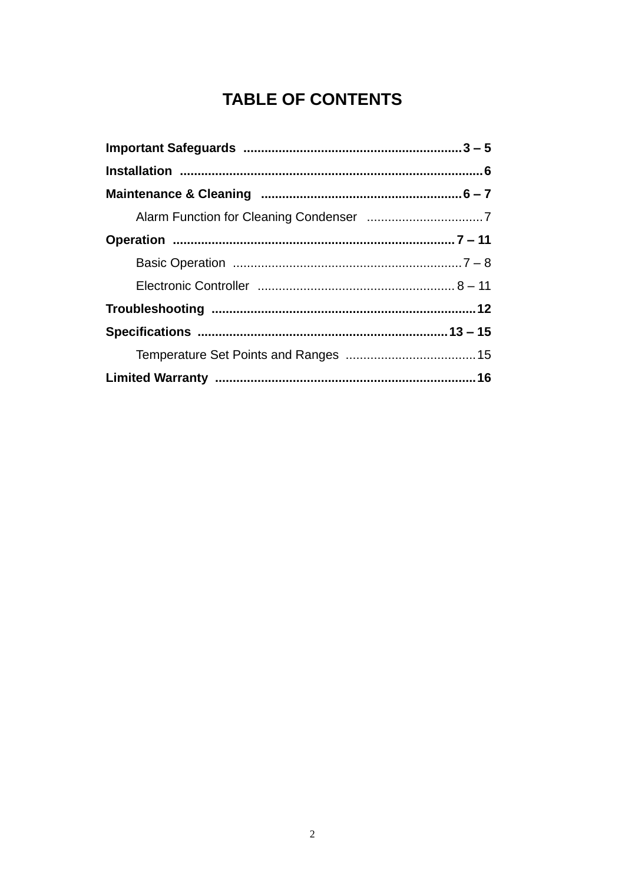# **TABLE OF CONTENTS**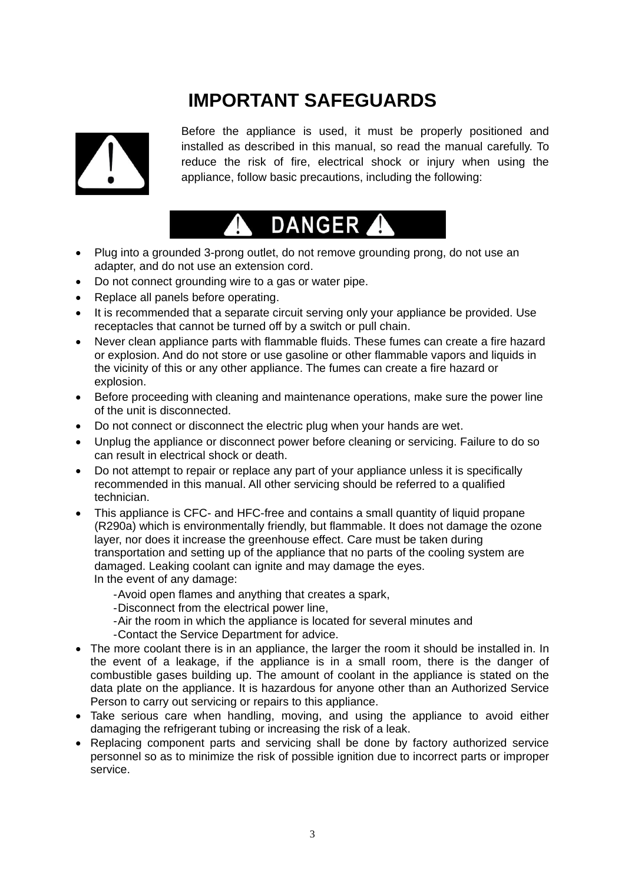# **IMPORTANT SAFEGUARDS**



Before the appliance is used, it must be properly positioned and installed as described in this manual, so read the manual carefully. To reduce the risk of fire, electrical shock or injury when using the appliance, follow basic precautions, including the following:

# **DANGER**

- Plug into a grounded 3-prong outlet, do not remove grounding prong, do not use an adapter, and do not use an extension cord.
- Do not connect grounding wire to a gas or water pipe.
- Replace all panels before operating.
- It is recommended that a separate circuit serving only your appliance be provided. Use receptacles that cannot be turned off by a switch or pull chain.
- Never clean appliance parts with flammable fluids. These fumes can create a fire hazard or explosion. And do not store or use gasoline or other flammable vapors and liquids in the vicinity of this or any other appliance. The fumes can create a fire hazard or explosion.
- Before proceeding with cleaning and maintenance operations, make sure the power line of the unit is disconnected.
- Do not connect or disconnect the electric plug when your hands are wet.
- Unplug the appliance or disconnect power before cleaning or servicing. Failure to do so can result in electrical shock or death.
- Do not attempt to repair or replace any part of your appliance unless it is specifically recommended in this manual. All other servicing should be referred to a qualified technician.
- This appliance is CFC- and HFC-free and contains a small quantity of liquid propane (R290a) which is environmentally friendly, but flammable. It does not damage the ozone layer, nor does it increase the greenhouse effect. Care must be taken during transportation and setting up of the appliance that no parts of the cooling system are damaged. Leaking coolant can ignite and may damage the eyes. In the event of any damage:
	- -Avoid open flames and anything that creates a spark,
	- -Disconnect from the electrical power line,
	- -Air the room in which the appliance is located for several minutes and
	- -Contact the Service Department for advice.
- The more coolant there is in an appliance, the larger the room it should be installed in. In the event of a leakage, if the appliance is in a small room, there is the danger of combustible gases building up. The amount of coolant in the appliance is stated on the data plate on the appliance. It is hazardous for anyone other than an Authorized Service Person to carry out servicing or repairs to this appliance.
- Take serious care when handling, moving, and using the appliance to avoid either damaging the refrigerant tubing or increasing the risk of a leak.
- Replacing component parts and servicing shall be done by factory authorized service personnel so as to minimize the risk of possible ignition due to incorrect parts or improper service.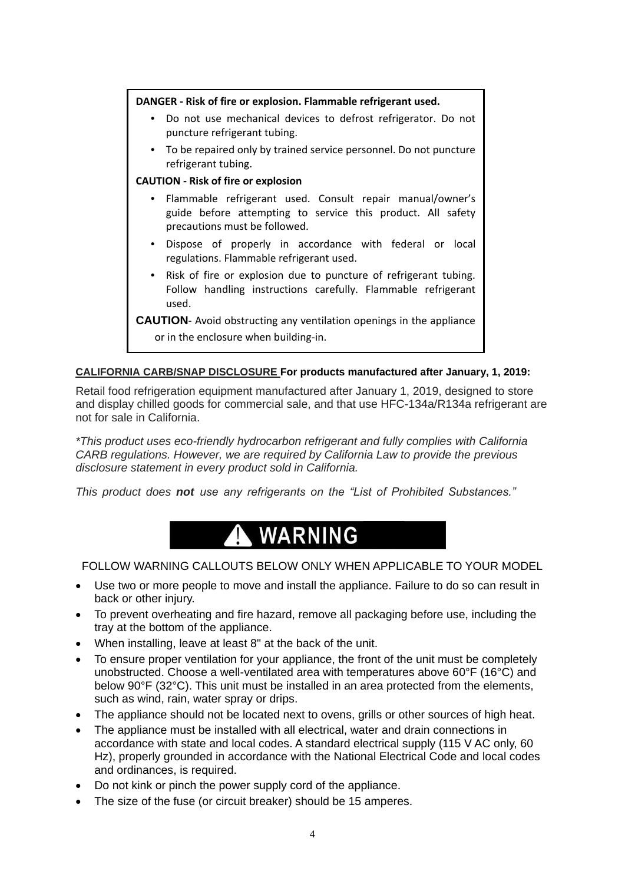### **DANGER - Risk of fire or explosion. Flammable refrigerant used.**

- **•** Do not use mechanical devices to defrost refrigerator. Do not puncture refrigerant tubing.
- **•** To be repaired only by trained service personnel. Do not puncture refrigerant tubing.

### **CAUTION - Risk of fire or explosion**

- **•** Flammable refrigerant used. Consult repair manual/owner's guide before attempting to service this product. All safety precautions must be followed.
- **•** Dispose of properly in accordance with federal or local regulations. Flammable refrigerant used.
- **•** Risk of fire or explosion due to puncture of refrigerant tubing. Follow handling instructions carefully. Flammable refrigerant used.

**CAUTION**- Avoid obstructing any ventilation openings in the appliance or in the enclosure when building-in.

# **CALIFORNIA CARB/SNAP DISCLOSURE For products manufactured after January, 1, 2019:**

Retail food refrigeration equipment manufactured after January 1, 2019, designed to store and display chilled goods for commercial sale, and that use HFC-134a/R134a refrigerant are not for sale in California.

*\*This product uses eco-friendly hydrocarbon refrigerant and fully complies with California CARB regulations. However, we are required by California Law to provide the previous disclosure statement in every product sold in California.*

*This product does not use any refrigerants on the "List of Prohibited Substances."*

# **WARNING**

# FOLLOW WARNING CALLOUTS BELOW ONLY WHEN APPLICABLE TO YOUR MODEL

- Use two or more people to move and install the appliance. Failure to do so can result in back or other injury.
- To prevent overheating and fire hazard, remove all packaging before use, including the tray at the bottom of the appliance.
- When installing, leave at least 8" at the back of the unit.
- To ensure proper ventilation for your appliance, the front of the unit must be completely unobstructed. Choose a well-ventilated area with temperatures above 60°F (16°C) and below 90°F (32°C). This unit must be installed in an area protected from the elements, such as wind, rain, water spray or drips.
- The appliance should not be located next to ovens, grills or other sources of high heat.
- The appliance must be installed with all electrical, water and drain connections in accordance with state and local codes. A standard electrical supply (115 V AC only, 60 Hz), properly grounded in accordance with the National Electrical Code and local codes and ordinances, is required.
- Do not kink or pinch the power supply cord of the appliance.
- The size of the fuse (or circuit breaker) should be 15 amperes.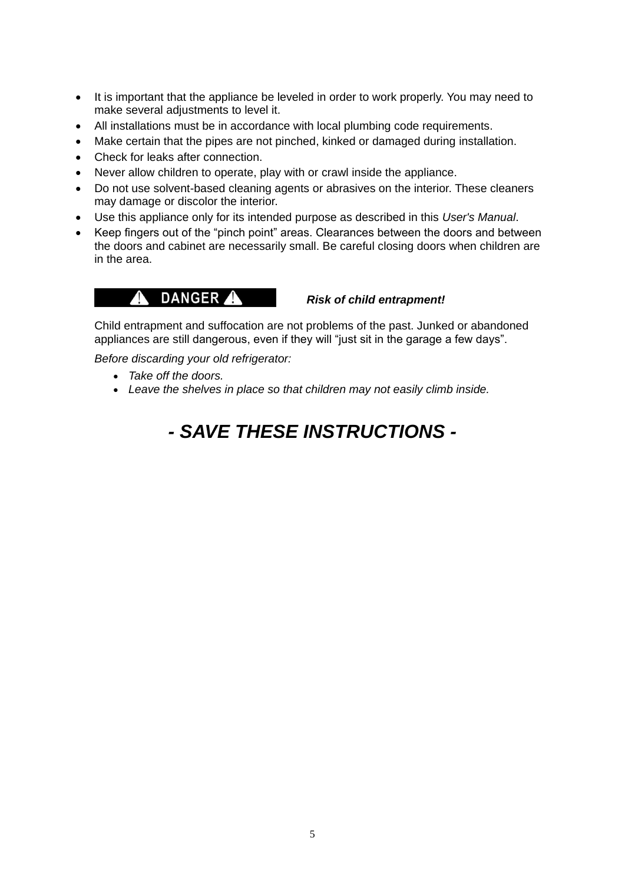- It is important that the appliance be leveled in order to work properly. You may need to make several adjustments to level it.
- All installations must be in accordance with local plumbing code requirements.
- Make certain that the pipes are not pinched, kinked or damaged during installation.
- Check for leaks after connection.
- Never allow children to operate, play with or crawl inside the appliance.
- Do not use solvent-based cleaning agents or abrasives on the interior. These cleaners may damage or discolor the interior.
- Use this appliance only for its intended purpose as described in this *User's Manual*.
- Keep fingers out of the "pinch point" areas. Clearances between the doors and between the doors and cabinet are necessarily small. Be careful closing doors when children are in the area.

# *Risk of child entrapment!*

Child entrapment and suffocation are not problems of the past. Junked or abandoned appliances are still dangerous, even if they will "just sit in the garage a few days".

*Before discarding your old refrigerator:*

- *Take off the doors.*
- *Leave the shelves in place so that children may not easily climb inside.*

# *- SAVE THESE INSTRUCTIONS -*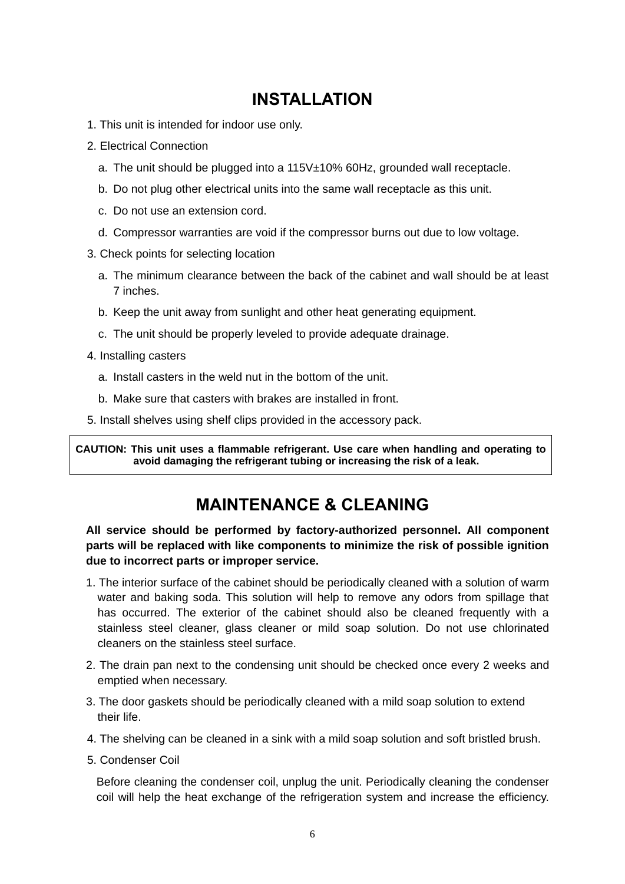# **INSTALLATION**

- 1. This unit is intended for indoor use only.
- 2. Electrical Connection
	- a. The unit should be plugged into a 115V±10% 60Hz, grounded wall receptacle.
	- b. Do not plug other electrical units into the same wall receptacle as this unit.
	- c. Do not use an extension cord.
	- d. Compressor warranties are void if the compressor burns out due to low voltage.
- 3. Check points for selecting location
	- a. The minimum clearance between the back of the cabinet and wall should be at least 7 inches.
	- b. Keep the unit away from sunlight and other heat generating equipment.
	- c. The unit should be properly leveled to provide adequate drainage.
- 4. Installing casters
	- a. Install casters in the weld nut in the bottom of the unit.
	- b. Make sure that casters with brakes are installed in front.
- 5. Install shelves using shelf clips provided in the accessory pack.

**CAUTION: This unit uses a flammable refrigerant. Use care when handling and operating to avoid damaging the refrigerant tubing or increasing the risk of a leak.**

# **MAINTENANCE & CLEANING**

**All service should be performed by factory-authorized personnel. All component parts will be replaced with like components to minimize the risk of possible ignition due to incorrect parts or improper service.**

- 1. The interior surface of the cabinet should be periodically cleaned with a solution of warm water and baking soda. This solution will help to remove any odors from spillage that has occurred. The exterior of the cabinet should also be cleaned frequently with a stainless steel cleaner, glass cleaner or mild soap solution. Do not use chlorinated cleaners on the stainless steel surface.
- 2. The drain pan next to the condensing unit should be checked once every 2 weeks and emptied when necessary.
- 3. The door gaskets should be periodically cleaned with a mild soap solution to extend their life.
- 4. The shelving can be cleaned in a sink with a mild soap solution and soft bristled brush.
- 5. Condenser Coil

Before cleaning the condenser coil, unplug the unit. Periodically cleaning the condenser coil will help the heat exchange of the refrigeration system and increase the efficiency.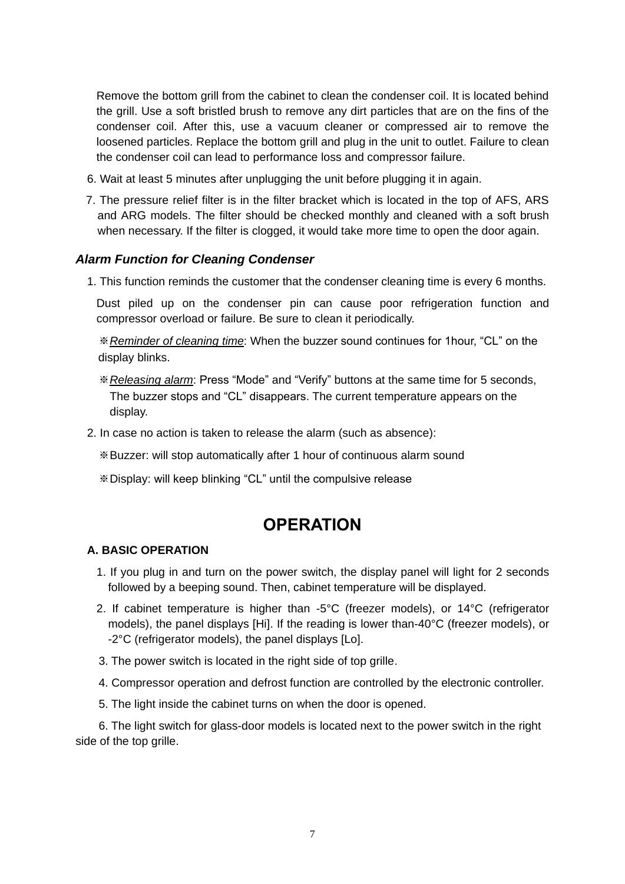Remove the bottom grill from the cabinet to clean the condenser coil. It is located behind the grill. Use a soft bristled brush to remove any dirt particles that are on the fins of the condenser coil. After this, use a vacuum cleaner or compressed air to remove the loosened particles. Replace the bottom grill and plug in the unit to outlet. Failure to clean the condenser coil can lead to performance loss and compressor failure.

- 6. Wait at least 5 minutes after unplugging the unit before plugging it in again.
- 7. The pressure relief filter is in the filter bracket which is located in the top of AFS, ARS and ARG models. The filter should be checked monthly and cleaned with a soft brush when necessary. If the filter is clogged, it would take more time to open the door again.

### *Alarm Function for Cleaning Condenser*

1. This function reminds the customer that the condenser cleaning time is every 6 months.

Dust piled up on the condenser pin can cause poor refrigeration function and compressor overload or failure. Be sure to clean it periodically.

※*Reminder of cleaning time*: When the buzzer sound continues for 1hour, "CL" on the display blinks.

- ※*Releasing alarm*: Press "Mode" and "Verify" buttons at the same time for 5 seconds, The buzzer stops and "CL" disappears. The current temperature appears on the display.
- 2. In case no action is taken to release the alarm (such as absence):
	- ※Buzzer: will stop automatically after 1 hour of continuous alarm sound
	- ※Display: will keep blinking "CL" until the compulsive release

# **OPERATION**

### **A. BASIC OPERATION**

- 1. If you plug in and turn on the power switch, the display panel will light for 2 seconds followed by a beeping sound. Then, cabinet temperature will be displayed.
- 2. If cabinet temperature is higher than -5°C (freezer models), or 14°C (refrigerator models), the panel displays [Hi]. If the reading is lower than-40°C (freezer models), or -2°C (refrigerator models), the panel displays [Lo].
- 3. The power switch is located in the right side of top grille.
- 4. Compressor operation and defrost function are controlled by the electronic controller.
- 5. The light inside the cabinet turns on when the door is opened.

6. The light switch for glass-door models is located next to the power switch in the right side of the top grille.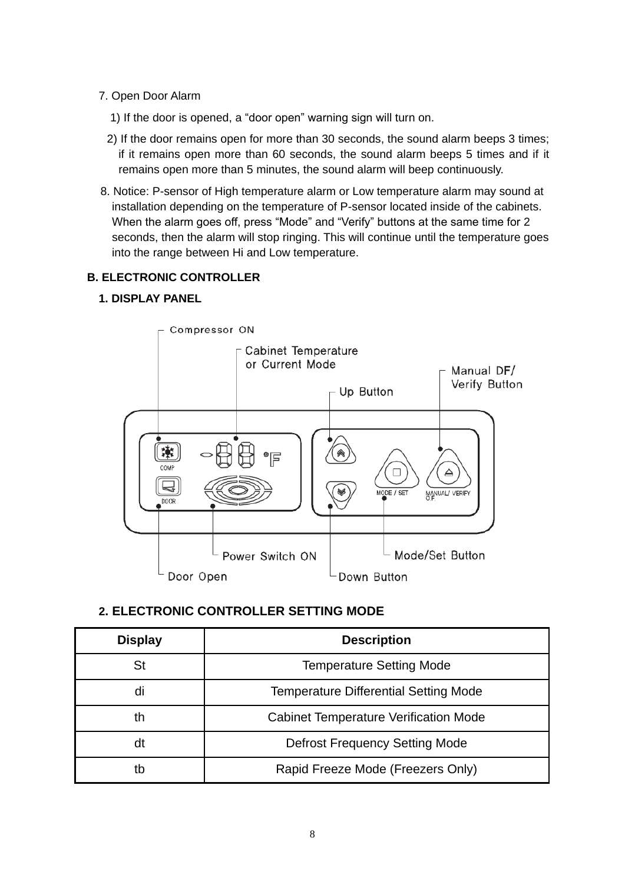# 7. Open Door Alarm

- 1) If the door is opened, a "door open" warning sign will turn on.
- 2) If the door remains open for more than 30 seconds, the sound alarm beeps 3 times; if it remains open more than 60 seconds, the sound alarm beeps 5 times and if it remains open more than 5 minutes, the sound alarm will beep continuously.
- 8. Notice: P-sensor of High temperature alarm or Low temperature alarm may sound at installation depending on the temperature of P-sensor located inside of the cabinets. When the alarm goes off, press "Mode" and "Verify" buttons at the same time for 2 seconds, then the alarm will stop ringing. This will continue until the temperature goes into the range between Hi and Low temperature.

# **B. ELECTRONIC CONTROLLER**

# **1. DISPLAY PANEL**



# **2. ELECTRONIC CONTROLLER SETTING MODE**

| <b>Display</b> | <b>Description</b>                           |  |
|----------------|----------------------------------------------|--|
| St             | <b>Temperature Setting Mode</b>              |  |
| di             | <b>Temperature Differential Setting Mode</b> |  |
| th             | <b>Cabinet Temperature Verification Mode</b> |  |
| dt             | <b>Defrost Frequency Setting Mode</b>        |  |
| tb             | Rapid Freeze Mode (Freezers Only)            |  |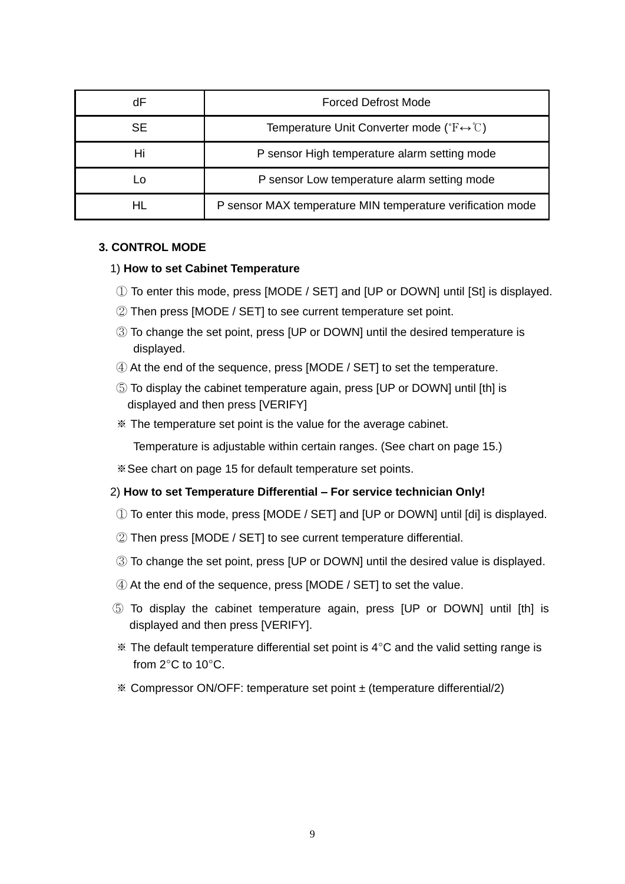| dF  | <b>Forced Defrost Mode</b>                                                    |  |
|-----|-------------------------------------------------------------------------------|--|
| SE. | Temperature Unit Converter mode ( ${}^{\circ}F \leftrightarrow {}^{\circ}C$ ) |  |
| Hi  | P sensor High temperature alarm setting mode                                  |  |
| Lo  | P sensor Low temperature alarm setting mode                                   |  |
| HL  | P sensor MAX temperature MIN temperature verification mode                    |  |

# **3. CONTROL MODE**

### 1) **How to set Cabinet Temperature**

- ① To enter this mode, press [MODE / SET] and [UP or DOWN] until [St] is displayed.
- ② Then press [MODE / SET] to see current temperature set point.
- ③ To change the set point, press [UP or DOWN] until the desired temperature is displayed.
- ④ At the end of the sequence, press [MODE / SET] to set the temperature.
- ⑤ To display the cabinet temperature again, press [UP or DOWN] until [th] is displayed and then press [VERIFY]
- ※ The temperature set point is the value for the average cabinet.

Temperature is adjustable within certain ranges. (See chart on page 15.)

※See chart on page 15 for default temperature set points.

### 2) **How to set Temperature Differential – For service technician Only!**

- ① To enter this mode, press [MODE / SET] and [UP or DOWN] until [di] is displayed.
- ② Then press [MODE / SET] to see current temperature differential.
- ③ To change the set point, press [UP or DOWN] until the desired value is displayed.
- ④ At the end of the sequence, press [MODE / SET] to set the value.
- ⑤ To display the cabinet temperature again, press [UP or DOWN] until [th] is displayed and then press [VERIFY].
- $*$  The default temperature differential set point is  $4^{\circ}$ C and the valid setting range is from 2°C to 10°C.
- ※ Compressor ON/OFF: temperature set point ± (temperature differential/2)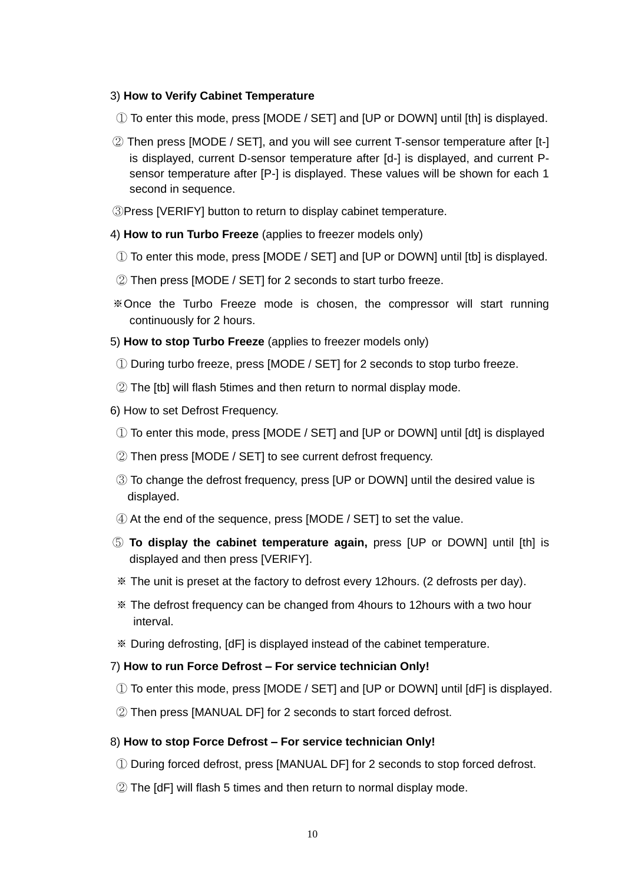### 3) **How to Verify Cabinet Temperature**

- ① To enter this mode, press [MODE / SET] and [UP or DOWN] until [th] is displayed.
- ② Then press [MODE / SET], and you will see current T-sensor temperature after [t-] is displayed, current D-sensor temperature after [d-] is displayed, and current Psensor temperature after [P-] is displayed. These values will be shown for each 1 second in sequence.
- ③Press [VERIFY] button to return to display cabinet temperature.
- 4) **How to run Turbo Freeze** (applies to freezer models only)
- ① To enter this mode, press [MODE / SET] and [UP or DOWN] until [tb] is displayed.
- ② Then press [MODE / SET] for 2 seconds to start turbo freeze.
- ※Once the Turbo Freeze mode is chosen, the compressor will start running continuously for 2 hours.
- 5) **How to stop Turbo Freeze** (applies to freezer models only)
- ① During turbo freeze, press [MODE / SET] for 2 seconds to stop turbo freeze.
- ② The [tb] will flash 5times and then return to normal display mode.
- 6) How to set Defrost Frequency.
- ① To enter this mode, press [MODE / SET] and [UP or DOWN] until [dt] is displayed
- ② Then press [MODE / SET] to see current defrost frequency.
- ③ To change the defrost frequency, press [UP or DOWN] until the desired value is displayed.
- ④ At the end of the sequence, press [MODE / SET] to set the value.
- ⑤ **To display the cabinet temperature again,** press [UP or DOWN] until [th] is displayed and then press [VERIFY].
- ※ The unit is preset at the factory to defrost every 12hours. (2 defrosts per day).
- ※ The defrost frequency can be changed from 4hours to 12hours with a two hour interval.
- ※ During defrosting, [dF] is displayed instead of the cabinet temperature.

#### 7) **How to run Force Defrost – For service technician Only!**

- ① To enter this mode, press [MODE / SET] and [UP or DOWN] until [dF] is displayed.
- ② Then press [MANUAL DF] for 2 seconds to start forced defrost.

### 8) **How to stop Force Defrost – For service technician Only!**

- ① During forced defrost, press [MANUAL DF] for 2 seconds to stop forced defrost.
- ② The [dF] will flash 5 times and then return to normal display mode.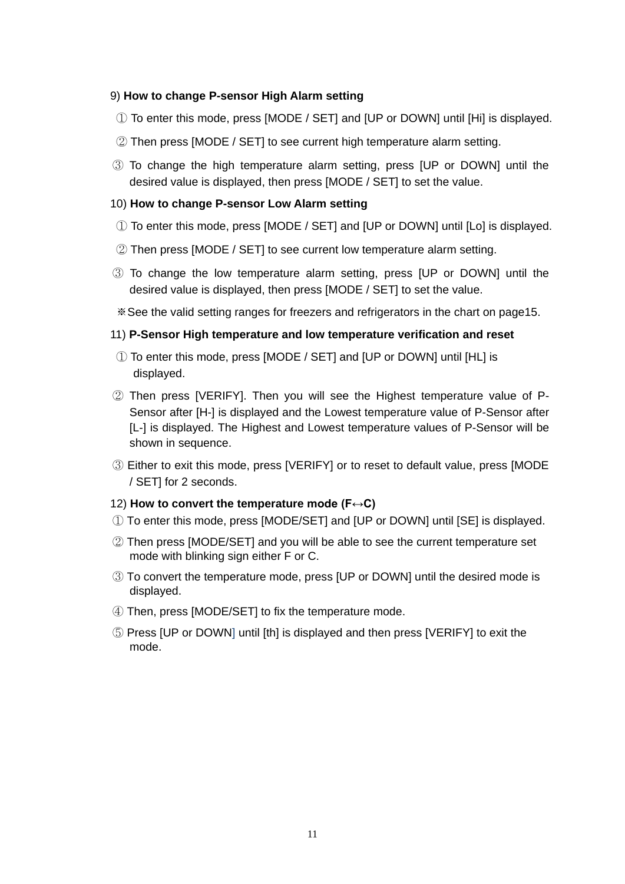### 9) **How to change P-sensor High Alarm setting**

- ① To enter this mode, press [MODE / SET] and [UP or DOWN] until [Hi] is displayed.
- ② Then press [MODE / SET] to see current high temperature alarm setting.
- ③ To change the high temperature alarm setting, press [UP or DOWN] until the desired value is displayed, then press [MODE / SET] to set the value.

### 10) **How to change P-sensor Low Alarm setting**

- ① To enter this mode, press [MODE / SET] and [UP or DOWN] until [Lo] is displayed.
- ② Then press [MODE / SET] to see current low temperature alarm setting.
- ③ To change the low temperature alarm setting, press [UP or DOWN] until the desired value is displayed, then press [MODE / SET] to set the value.
- ※See the valid setting ranges for freezers and refrigerators in the chart on page15.

### 11) **P-Sensor High temperature and low temperature verification and reset**

- ① To enter this mode, press [MODE / SET] and [UP or DOWN] until [HL] is displayed.
- ② Then press [VERIFY]. Then you will see the Highest temperature value of P-Sensor after [H-] is displayed and the Lowest temperature value of P-Sensor after [L-] is displayed. The Highest and Lowest temperature values of P-Sensor will be shown in sequence.
- ③ Either to exit this mode, press [VERIFY] or to reset to default value, press [MODE / SET] for 2 seconds.

### 12) **How to convert the temperature mode (F↔C)**

- ① To enter this mode, press [MODE/SET] and [UP or DOWN] until [SE] is displayed.
- ② Then press [MODE/SET] and you will be able to see the current temperature set mode with blinking sign either F or C.
- ③ To convert the temperature mode, press [UP or DOWN] until the desired mode is displayed.
- ④ Then, press [MODE/SET] to fix the temperature mode.
- ⑤ Press [UP or DOWN] until [th] is displayed and then press [VERIFY] to exit the mode.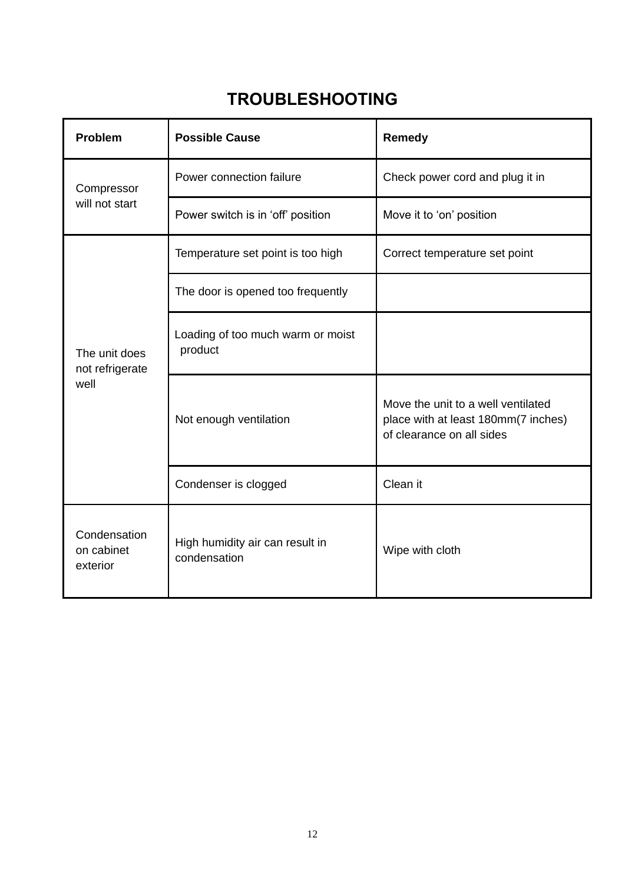# **TROUBLESHOOTING**

| Problem                                                                                   | <b>Possible Cause</b>                        | <b>Remedy</b>                                                                                          |
|-------------------------------------------------------------------------------------------|----------------------------------------------|--------------------------------------------------------------------------------------------------------|
| Compressor<br>will not start                                                              | Power connection failure                     | Check power cord and plug it in                                                                        |
|                                                                                           | Power switch is in 'off' position            | Move it to 'on' position                                                                               |
| The unit does<br>not refrigerate<br>well                                                  | Temperature set point is too high            | Correct temperature set point                                                                          |
|                                                                                           | The door is opened too frequently            |                                                                                                        |
|                                                                                           | Loading of too much warm or moist<br>product |                                                                                                        |
|                                                                                           | Not enough ventilation                       | Move the unit to a well ventilated<br>place with at least 180mm(7 inches)<br>of clearance on all sides |
|                                                                                           | Condenser is clogged                         | Clean it                                                                                               |
| Condensation<br>High humidity air can result in<br>on cabinet<br>condensation<br>exterior |                                              | Wipe with cloth                                                                                        |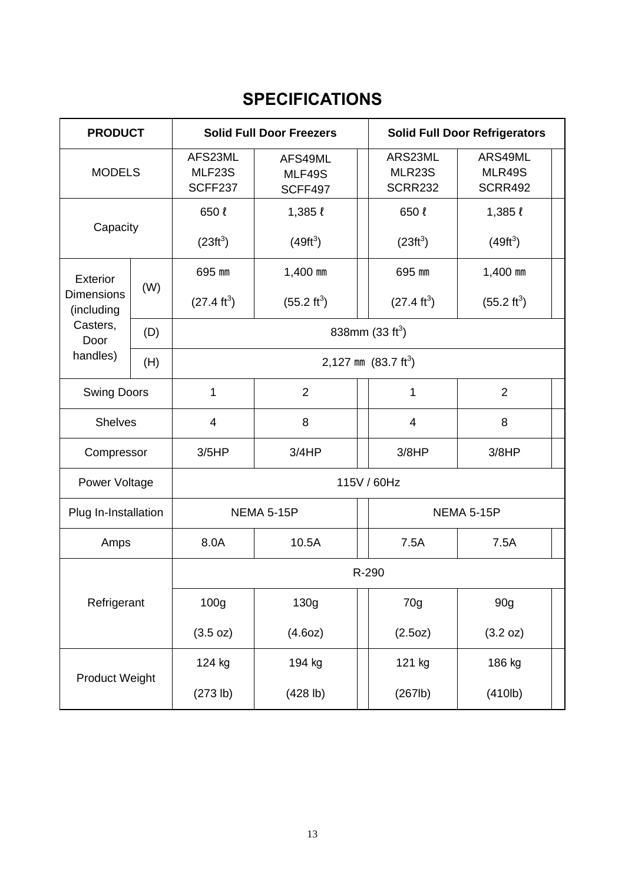# **SPECIFICATIONS**

| <b>PRODUCT</b>                  |                      | <b>Solid Full Door Freezers</b>                                     |                       | <b>Solid Full Door Refrigerators</b>       |                                     |  |
|---------------------------------|----------------------|---------------------------------------------------------------------|-----------------------|--------------------------------------------|-------------------------------------|--|
| <b>MODELS</b>                   |                      | AFS23ML<br>AFS49ML<br>MLF23S<br>MLF49S<br>SCFF237<br><b>SCFF497</b> |                       | ARS23ML<br><b>MLR23S</b><br><b>SCRR232</b> | ARS49ML<br>MLR49S<br><b>SCRR492</b> |  |
| Capacity                        |                      | 650l                                                                | $1,385 \; l$          | 650 ℓ                                      | $1,385 \; l$                        |  |
|                                 |                      | $(23 ft^3)$                                                         | $(49 ft^3)$           | $(23 ft^3)$                                | $(49 ft^3)$                         |  |
| <b>Exterior</b>                 |                      | 695 mm                                                              | 1,400 mm              | 695 mm                                     | 1,400 mm                            |  |
| <b>Dimensions</b><br>(including | (W)                  | $(27.4 \text{ ft}^3)$                                               | $(55.2 \text{ ft}^3)$ | $(27.4 \text{ ft}^3)$                      | $(55.2 \text{ ft}^3)$               |  |
| Casters,<br>(D)<br>Door         |                      | 838mm $(33 ft3)$                                                    |                       |                                            |                                     |  |
| handles)<br>(H)                 |                      |                                                                     | 2,127 mm $(83.7 ft3)$ |                                            |                                     |  |
| <b>Swing Doors</b>              |                      | 1                                                                   | $\overline{2}$        | 1                                          | $\overline{2}$                      |  |
| <b>Shelves</b>                  |                      | 4                                                                   | 8                     | $\overline{4}$                             | 8                                   |  |
| Compressor                      |                      | 3/5HP                                                               | 3/4HP                 | 3/8HP<br>3/8HP                             |                                     |  |
| 115V / 60Hz<br>Power Voltage    |                      |                                                                     |                       |                                            |                                     |  |
|                                 | Plug In-Installation |                                                                     | <b>NEMA 5-15P</b>     |                                            | <b>NEMA 5-15P</b>                   |  |
| Amps                            |                      | 8.0A                                                                | 10.5A                 | 7.5A                                       | 7.5A                                |  |
|                                 |                      |                                                                     | R-290                 |                                            |                                     |  |
| Refrigerant                     |                      | 100 <sub>g</sub>                                                    | 130g                  | 70g                                        | 90g                                 |  |
|                                 |                      | (3.5 oz)                                                            | (4.60z)               | (2.5oz)                                    | (3.2 oz)                            |  |
|                                 |                      | 124 kg                                                              | 194 kg                | 121 kg                                     | 186 kg                              |  |
| Product Weight                  |                      | (273 lb)                                                            | (428 lb)              | (267lb)                                    | (410 <sub>lb</sub> )                |  |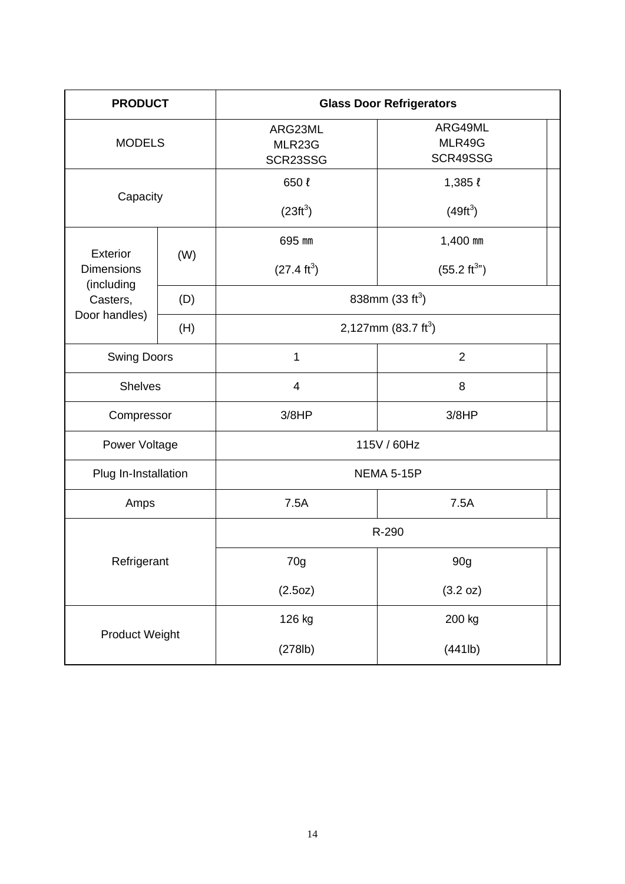| <b>PRODUCT</b>         |     | <b>Glass Door Refrigerators</b> |                               |  |  |
|------------------------|-----|---------------------------------|-------------------------------|--|--|
| <b>MODELS</b>          |     | ARG23ML<br>MLR23G<br>SCR23SSG   | ARG49ML<br>MLR49G<br>SCR49SSG |  |  |
| Capacity               |     | 650 ℓ                           | $1,385 \ell$                  |  |  |
|                        |     | $(23 ft^3)$                     | $(49 ft^3)$                   |  |  |
| <b>Exterior</b>        |     | 695 mm                          | 1,400 mm                      |  |  |
| <b>Dimensions</b>      | (W) | $(27.4 \text{ ft}^3)$           | $(55.2 \text{ ft}^{3n})$      |  |  |
| (including<br>Casters, | (D) | 838mm $(33 ft3)$                |                               |  |  |
| Door handles)          | (H) |                                 | 2,127mm $(83.7 \text{ ft}^3)$ |  |  |
| <b>Swing Doors</b>     |     | 1                               | $\overline{2}$                |  |  |
| <b>Shelves</b>         |     | 4                               | 8                             |  |  |
| Compressor             |     | 3/8HP                           | 3/8HP                         |  |  |
| Power Voltage          |     | 115V / 60Hz                     |                               |  |  |
| Plug In-Installation   |     | <b>NEMA 5-15P</b>               |                               |  |  |
| Amps                   |     | 7.5A                            | 7.5A                          |  |  |
|                        |     | R-290                           |                               |  |  |
| Refrigerant            |     | 70g                             | 90g                           |  |  |
|                        |     | (2.5oz)                         | (3.2 oz)                      |  |  |
|                        |     | 126 kg                          | 200 kg                        |  |  |
| <b>Product Weight</b>  |     | (278lb)                         | (441lb)                       |  |  |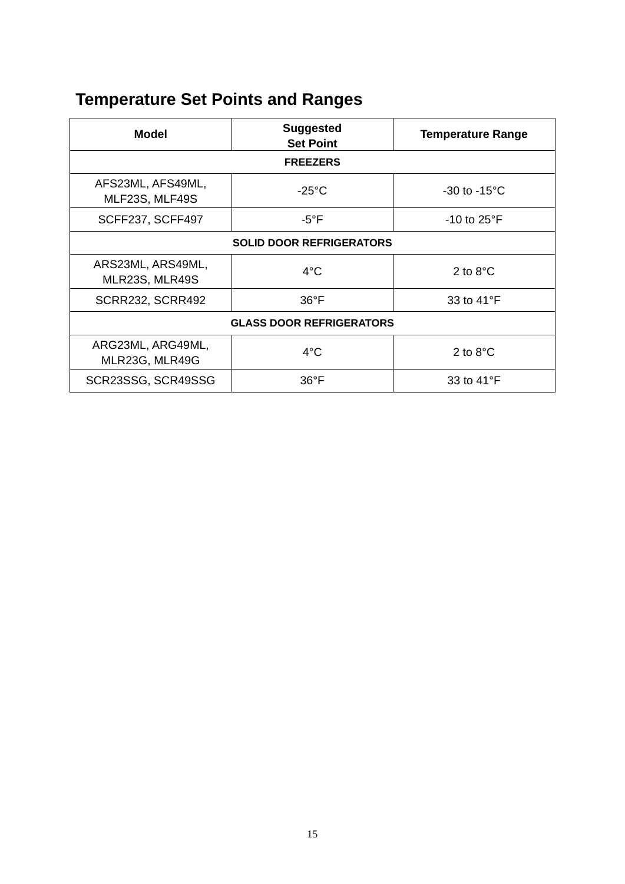# **Temperature Set Points and Ranges**

| Model                               | <b>Suggested</b><br><b>Set Point</b> | <b>Temperature Range</b> |  |
|-------------------------------------|--------------------------------------|--------------------------|--|
| <b>FREEZERS</b>                     |                                      |                          |  |
| AFS23ML, AFS49ML,<br>MLF23S, MLF49S | $-25^{\circ}$ C                      | $-30$ to $-15^{\circ}$ C |  |
| <b>SCFF237, SCFF497</b>             | $-5^{\circ}$ F                       | $-10$ to $25^{\circ}$ F  |  |
| <b>SOLID DOOR REFRIGERATORS</b>     |                                      |                          |  |
| ARS23ML, ARS49ML,<br>MLR23S, MLR49S | $4^{\circ}$ C                        | 2 to $8^{\circ}$ C       |  |
| <b>SCRR232, SCRR492</b>             | $36^{\circ}F$                        | 33 to 41°F               |  |
| <b>GLASS DOOR REFRIGERATORS</b>     |                                      |                          |  |
| ARG23ML, ARG49ML,<br>MLR23G, MLR49G | $4^{\circ}$ C                        | 2 to $8^{\circ}$ C       |  |
| SCR23SSG, SCR49SSG                  | $36^{\circ}$ F                       | 33 to 41°F               |  |